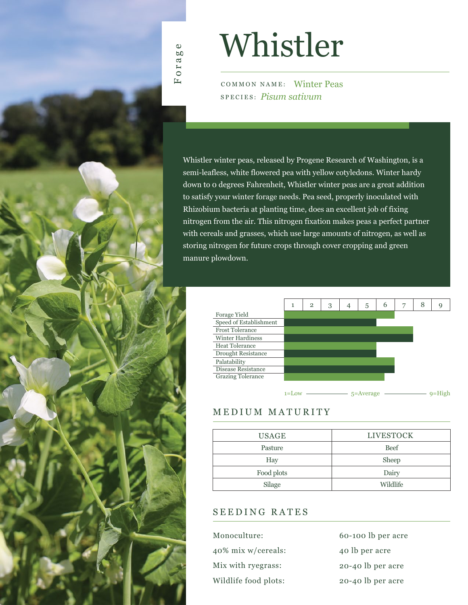

# Whistler

COMMON NAME: Winter Peas SPECIES: *Pisum sativum*

Whistler winter peas, released by Progene Research of Washington, is a semi-leafless, white flowered pea with yellow cotyledons. Winter hardy down to 0 degrees Fahrenheit, Whistler winter peas are a great addition to satisfy your winter forage needs. Pea seed, properly inoculated with Rhizobium bacteria at planting time, does an excellent job of fixing nitrogen from the air. This nitrogen fixation makes peas a perfect partner with cereals and grasses, which use large amounts of nitrogen, as well as storing nitrogen for future crops through cover cropping and green manure plowdown.



## MEDIUM MATURITY

| <b>LIVESTOCK</b> |
|------------------|
| <b>Beef</b>      |
| Sheep            |
| Dairy            |
| Wildlife         |
|                  |

### SEEDING RATES

60-100 lb per acre 40 lb per acre 20-40 lb per acre 20-40 lb per acre Monoculture: 40% mix w/cereals: Mix with ryegrass: Wildlife food plots: